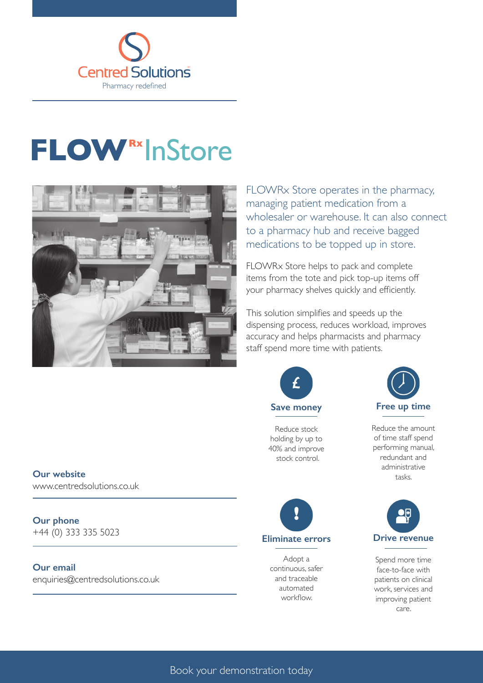

## **FLOW**<sup>Rx</sup> InStore



FLOWRx Store operates in the pharmacy, managing patient medication from a wholesaler or warehouse. It can also connect to a pharmacy hub and receive bagged medications to be topped up in store.

FLOWRx Store helps to pack and complete items from the tote and pick top-up items off your pharmacy shelves quickly and efficiently.

This solution simplifies and speeds up the dispensing process, reduces workload, improves accuracy and helps pharmacists and pharmacy staff spend more time with patients.



Reduce stock holding by up to 40% and improve stock control.



Reduce the amount of time staff spend performing manual, redundant and administrative tasks.



Spend more time face-to-face with patients on clinical work, services and improving patient care.

**Our website**

www.centredsolutions.co.uk

**Our phone**  +44 (0) 333 335 5023

**Our email**

enquiries@centredsolutions.co.uk



Adopt a continuous, safer and traceable automated workflow.